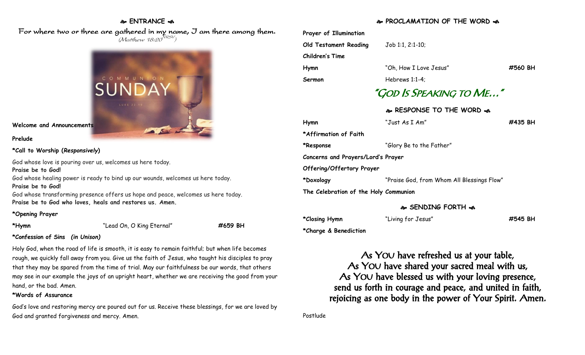### **ENTRANCE**

For where two or three are gathered in my name, I am there among them.  $(M$ atthew 18:20 $^{NRSV})$ 



#### **Welcome and Announcements**

#### **Prelude**

## **\*Call to Worship (***Responsively***)**

God whose love is pouring over us, welcomes us here today.

**Praise be to God!** God whose healing power is ready to bind up our wounds, welcomes us here today. **Praise be to God!**

God whose transforming presence offers us hope and peace, welcomes us here today. **Praise be to God who loves, heals and restores us. Amen.**

#### **\*Opening Prayer**

**\*Hymn** "Lead On, O King Eternal" **#659 BH**

## **\*Confession of Sins** *(in Unison)*

Holy God, when the road of life is smooth, it is easy to remain faithful; but when life becomes rough, we quickly fall away from you. Give us the faith of Jesus, who taught his disciples to pray that they may be spared from the time of trial. May our faithfulness be our words, that others may see in our example the joys of an upright heart, whether we are receiving the good from your hand, or the bad. Amen.

## **\*Words of Assurance**

God's love and restoring mercy are poured out for us. Receive these blessings, for we are loved by God and granted forgiveness and mercy. Amen.

# **PROCLAMATION OF THE WORD**

| Prayer of Illumination                |                                            |         |  |
|---------------------------------------|--------------------------------------------|---------|--|
| Old Testament Reading                 | $Job 1:1, 2:1-10;$                         |         |  |
| <b>Children's Time</b>                |                                            |         |  |
| Hymn                                  | "Oh, How I Love Jesus"                     | #560 BH |  |
| Sermon                                | Hebrews 1:1-4:                             |         |  |
| "God Is Speaking to Me"               |                                            |         |  |
|                                       | & RESPONSE TO THE WORD &                   |         |  |
| Hymn                                  | "Just As I Am"                             | #435 BH |  |
| *Affirmation of Faith                 |                                            |         |  |
| *Response                             | "Glory Be to the Father"                   |         |  |
| Concerns and Prayers/Lord's Prayer    |                                            |         |  |
| Offering/Offertory Prayer             |                                            |         |  |
| *Doxology                             | "Praise God, from Whom All Blessings Flow" |         |  |
| The Celebration of the Holy Communion |                                            |         |  |
|                                       |                                            |         |  |

## **SENDING FORTH**

| *Closing Hymn | "Living for Jesus" | #545 BH |
|---------------|--------------------|---------|
|               |                    |         |

**\*Charge & Benediction**

As YOU have refreshed us at your table, As YOU have shared your sacred meal with us, As YOU have blessed us with your loving presence, send us forth in courage and peace, and united in faith, rejoicing as one body in the power of Your Spirit. Amen.

Postlude